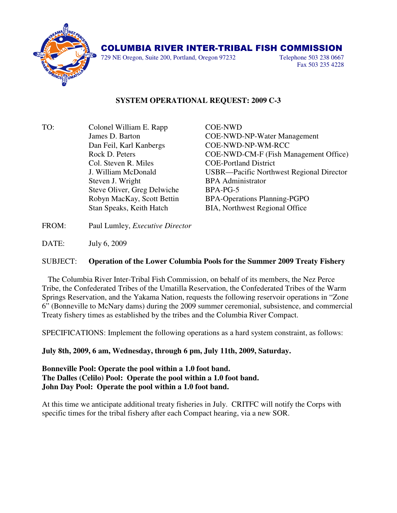

729 NE Oregon, Suite 200, Portland, Oregon 97232 Telephone 503 238 0667

Fax 503 235 4228

## **SYSTEM OPERATIONAL REQUEST: 2009 C-3**

TO: Colonel William E. Rapp COE-NWD Dan Feil, Karl Kanbergs COE-NWD-NP-WM-RCC Col. Steven R. Miles COE-Portland District Steven J. Wright BPA Administrator Steve Oliver, Greg Delwiche BPA-PG-5

 James D. Barton COE-NWD-NP-Water Management Rock D. Peters COE-NWD-CM-F (Fish Management Office) J. William McDonald USBR—Pacific Northwest Regional Director Robyn MacKay, Scott Bettin BPA-Operations Planning-PGPO Stan Speaks, Keith Hatch BIA, Northwest Regional Office

FROM: Paul Lumley, *Executive Director*

DATE: July 6, 2009

## SUBJECT: **Operation of the Lower Columbia Pools for the Summer 2009 Treaty Fishery**

 The Columbia River Inter-Tribal Fish Commission, on behalf of its members, the Nez Perce Tribe, the Confederated Tribes of the Umatilla Reservation, the Confederated Tribes of the Warm Springs Reservation, and the Yakama Nation, requests the following reservoir operations in "Zone 6" (Bonneville to McNary dams) during the 2009 summer ceremonial, subsistence, and commercial Treaty fishery times as established by the tribes and the Columbia River Compact.

SPECIFICATIONS: Implement the following operations as a hard system constraint, as follows:

**July 8th, 2009, 6 am, Wednesday, through 6 pm, July 11th, 2009, Saturday.** 

**Bonneville Pool: Operate the pool within a 1.0 foot band. The Dalles (Celilo) Pool: Operate the pool within a 1.0 foot band. John Day Pool: Operate the pool within a 1.0 foot band.**

At this time we anticipate additional treaty fisheries in July. CRITFC will notify the Corps with specific times for the tribal fishery after each Compact hearing, via a new SOR.